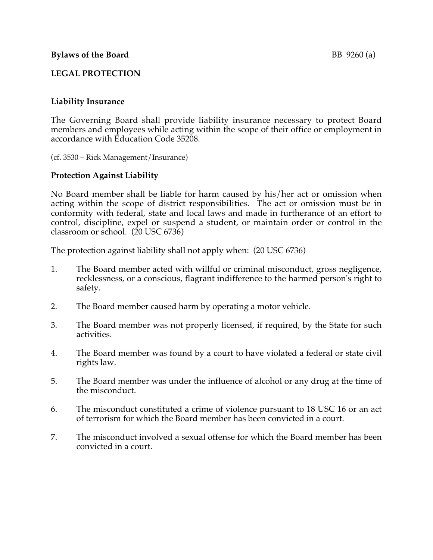## **LEGAL PROTECTION**

## **Liability Insurance**

The Governing Board shall provide liability insurance necessary to protect Board members and employees while acting within the scope of their office or employment in accordance with Education Code 35208.

(cf. 3530 – Rick Management/Insurance)

## **Protection Against Liability**

No Board member shall be liable for harm caused by his/her act or omission when acting within the scope of district responsibilities. The act or omission must be in conformity with federal, state and local laws and made in furtherance of an effort to control, discipline, expel or suspend a student, or maintain order or control in the classroom or school. (20 USC 6736)

The protection against liability shall not apply when: (20 USC 6736)

- 1. The Board member acted with willful or criminal misconduct, gross negligence, recklessness, or a conscious, flagrant indifference to the harmed person's right to safety.
- 2. The Board member caused harm by operating a motor vehicle.
- 3. The Board member was not properly licensed, if required, by the State for such activities.
- 4. The Board member was found by a court to have violated a federal or state civil rights law.
- 5. The Board member was under the influence of alcohol or any drug at the time of the misconduct.
- 6. The misconduct constituted a crime of violence pursuant to 18 USC 16 or an act of terrorism for which the Board member has been convicted in a court.
- 7. The misconduct involved a sexual offense for which the Board member has been convicted in a court.